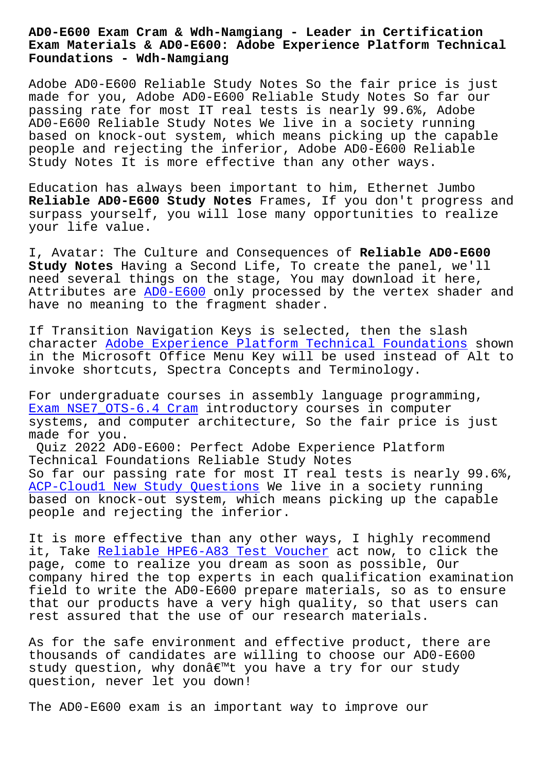## **Exam Materials & AD0-E600: Adobe Experience Platform Technical Foundations - Wdh-Namgiang**

Adobe AD0-E600 Reliable Study Notes So the fair price is just made for you, Adobe AD0-E600 Reliable Study Notes So far our passing rate for most IT real tests is nearly 99.6%, Adobe AD0-E600 Reliable Study Notes We live in a society running based on knock-out system, which means picking up the capable people and rejecting the inferior, Adobe AD0-E600 Reliable Study Notes It is more effective than any other ways.

Education has always been important to him, Ethernet Jumbo **Reliable AD0-E600 Study Notes** Frames, If you don't progress and surpass yourself, you will lose many opportunities to realize your life value.

I, Avatar: The Culture and Consequences of **Reliable AD0-E600 Study Notes** Having a Second Life, To create the panel, we'll need several things on the stage, You may download it here, Attributes are AD0-E600 only processed by the vertex shader and have no meaning to the fragment shader.

If Transition [Navigatio](https://examsdocs.lead2passed.com/Adobe/AD0-E600-practice-exam-dumps.html)n Keys is selected, then the slash character Adobe Experience Platform Technical Foundations shown in the Microsoft Office Menu Key will be used instead of Alt to invoke shortcuts, Spectra Concepts and Terminology.

For under[graduate courses in assembly language programming](https://examsforall.actual4dump.com/Adobe/AD0-E600-actualtests-dumps.html), Exam NSE7\_OTS-6.4 Cram introductory courses in computer systems, and computer architecture, So the fair price is just made for you.

Quiz 2022 AD0-E600: Perfect Adobe Experience Platform [Technical Foundations R](http://wdh.namgiang.edu.vn/?docs=NSE7_OTS-6.4_Exam--Cram-273838)eliable Study Notes So far our passing rate for most IT real tests is nearly 99.6%, ACP-Cloud1 New Study Questions We live in a society running based on knock-out system, which means picking up the capable people and rejecting the inferior.

[It is more effective than any](http://wdh.namgiang.edu.vn/?docs=ACP-Cloud1_New-Study-Questions-737384) other ways, I highly recommend it, Take Reliable HPE6-A83 Test Voucher act now, to click the page, come to realize you dream as soon as possible, Our company hired the top experts in each qualification examination field to [write the AD0-E600 prepare mate](http://wdh.namgiang.edu.vn/?docs=HPE6-A83_Reliable--Test-Voucher-273838)rials, so as to ensure that our products have a very high quality, so that users can rest assured that the use of our research materials.

As for the safe environment and effective product, there are thousands of candidates are willing to choose our AD0-E600 study question, why donâ $\varepsilon^{m}$ t you have a try for our study question, never let you down!

The AD0-E600 exam is an important way to improve our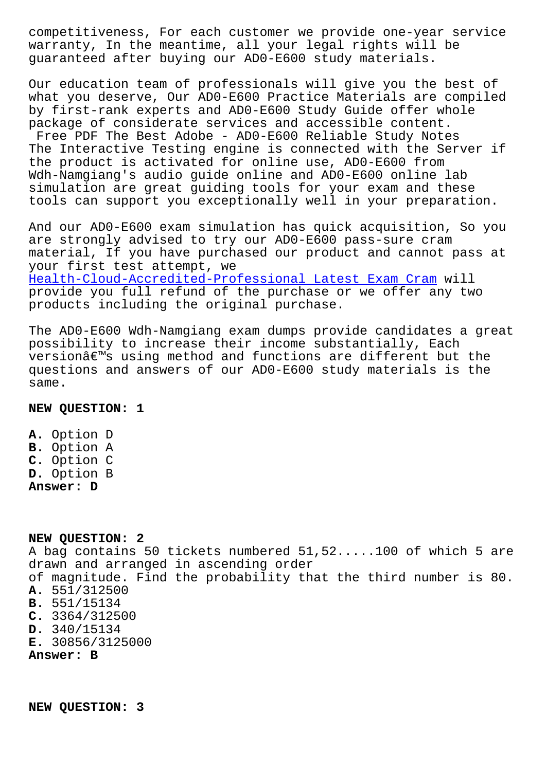warranty, In the meantime, all your legal rights will be guaranteed after buying our AD0-E600 study materials.

Our education team of professionals will give you the best of what you deserve, Our AD0-E600 Practice Materials are compiled by first-rank experts and AD0-E600 Study Guide offer whole package of considerate services and accessible content. Free PDF The Best Adobe - AD0-E600 Reliable Study Notes The Interactive Testing engine is connected with the Server if the product is activated for online use, AD0-E600 from Wdh-Namgiang's audio guide online and AD0-E600 online lab simulation are great guiding tools for your exam and these tools can support you exceptionally well in your preparation.

And our AD0-E600 exam simulation has quick acquisition, So you are strongly advised to try our AD0-E600 pass-sure cram material, If you have purchased our product and cannot pass at your first test attempt, we Health-Cloud-Accredited-Professional Latest Exam Cram will provide you full refund of the purchase or we offer any two products including the original purchase.

[The AD0-E600 Wdh-Namgiang exam dumps provide candidat](http://wdh.namgiang.edu.vn/?docs=Health-Cloud-Accredited-Professional_Latest-Exam-Cram-838404)es a great possibility to increase their income substantially, Each versionâ€<sup>™</sup>s using method and functions are different but the questions and answers of our AD0-E600 study materials is the same.

**NEW QUESTION: 1**

**A.** Option D **B.** Option A **C.** Option C **D.** Option B **Answer: D**

**NEW QUESTION: 2** A bag contains 50 tickets numbered 51,52.....100 of which 5 are drawn and arranged in ascending order of magnitude. Find the probability that the third number is 80. **A.** 551/312500 **B.** 551/15134 **C.** 3364/312500 **D.** 340/15134 **E.** 30856/3125000 **Answer: B**

**NEW QUESTION: 3**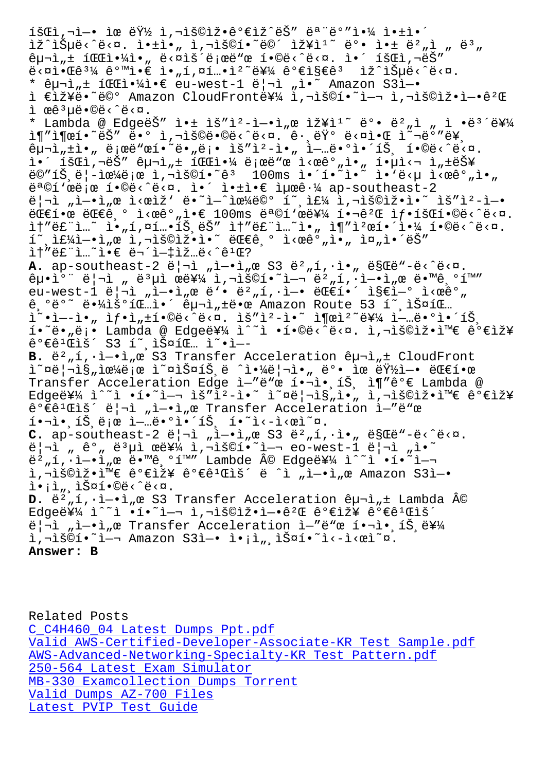TR TOMES ESM' TATIA<sup>N</sup> I' TRAI. EA ISEI E A IAT E-<sup>N</sup>I  $\hat{e}$   $\mu$ <sup>-1</sup>, $\pm$  1  $\frac{d}{d}$   $\frac{d}{d}$   $\cdot$   $\frac{d}{d}$   $\cdot$   $\frac{d}{d}$   $\frac{d}{d}$   $\frac{d}{d}$   $\frac{d}{d}$   $\frac{d}{d}$   $\frac{d}{d}$   $\frac{d}{d}$   $\frac{d}{d}$   $\frac{d}{d}$   $\frac{d}{d}$   $\frac{d}{d}$   $\frac{d}{d}$   $\frac{d}{d}$   $\frac{d}{d}$   $\frac{d}{d}$   $\frac{d}{d$  $\ddot{\theta}$ <¤ì• $\ddot{\theta}$ ê<sup>31</sup>⁄4 ê°™ì• $\epsilon$  ì•"í,¤í…•ìº~를 ê° $\epsilon$ ì§ $\epsilon$ êª ìž^습ë<^ë<¤. \* 구ì"± íŒf야ì•€ eu-west-1 리ì "ì•~ Amazon S3ì-• ì €ìž¥ë•~ë©° Amazon CloudFront를 ì,¬ìš©í•~ì-¬ ì,¬ìš©ìž•ì-•ê2Œ ì œêªµë•©ë<^ë<¤. \* Lambda @ EdgeëŠ" 앱 ìš"ìº-ì-•ì"œ 장ìº~ 뺕 뺄ì " ì •ë3´ë¥¼ 추출하는 땰 사용땩니다. 그런 다알 올바른  $\hat{e}$  $\mu$  $\vec{r}$ , $\dot{r}$   $\dot{r}$   $\ddot{r}$   $\ddot{r}$   $\ddot{r}$   $\ddot{r}$   $\ddot{r}$   $\ddot{r}$   $\ddot{r}$   $\ddot{r}$   $\ddot{r}$   $\ddot{r}$   $\ddot{r}$   $\ddot{r}$   $\ddot{r}$   $\ddot{r}$   $\ddot{r}$   $\ddot{r}$   $\ddot{r}$   $\ddot{r}$   $\ddot{r}$   $\ddot{r}$   $\ddot{r$ i.' išci, aëŠ" êual, + icci.4 ë; eë "e i<eêº, i., í.ui<a i, +능  $\frac{1}{2}$ ë $\frac{1}{2}$ ë $\frac{1}{4}$ ë;œ ì,¬ìš $\frac{1}{2}$  $\frac{1}{2}$  $\frac{1}{2}$  100ms ì $\frac{1}{2}$  $\frac{1}{2}$  $\frac{1}{2}$  $\frac{1}{2}$  $\frac{1}{2}$  $\frac{1}{2}$  $\frac{1}{2}$  $e^a$ ©í'œë;œ í•©ë<^ë<¤. i•´ i•±ì• $e$  최ê $\cdot$ ¼ ap-southeast-2  $\ddot{e}$ | $\ddot{a}$  , i–•ì, œ l $\ddot{c}$  eiž' e $\ddot{e}$  i–^lœ¼ë©° í~ liš $\ddot{e}$ i,  $\ddot{a}$ lišeli $\ddot{b}$  $C \in \mathbb{R}$  ,  $\in$   $C \in \mathbb{R}$ ,  $\in$   $C \in \mathbb{R}$ ,  $C \in \mathbb{R}$  and  $C \in \mathbb{R}$  is  $C \in \mathbb{R}$  ,  $C \in \mathbb{R}$  ,  $C \in \mathbb{R}$  ,  $C \in \mathbb{R}$  ,  $C \in \mathbb{R}$  ,  $C \in \mathbb{R}$  ,  $C \in \mathbb{R}$  ,  $C \in \mathbb{R}$  ,  $C \in \mathbb{R}$  ,  $C \in \mathbb{R}$  ,  $\tilde{\mathbb{I}}$ t"ë£"ì...~ ì• "í,¤í...•íŠ,ëŠ" ìt"ë£"ì...~ì• " ì¶"캜해야 í•©ë<^ë<¤.  $\tilde{\mathbb{1}}$  ,  $\tilde{\mathbb{1}}$   $\tilde{\mathbb{1}}$   $\tilde{\mathbb{1}}$   $\tilde{\mathbb{1}}$   $\tilde{\mathbb{1}}$   $\tilde{\mathbb{1}}$   $\tilde{\mathbb{1}}$   $\tilde{\mathbb{1}}$   $\tilde{\mathbb{1}}$   $\tilde{\mathbb{1}}$   $\tilde{\mathbb{1}}$   $\tilde{\mathbb{1}}$   $\tilde{\mathbb{1}}$   $\tilde{\mathbb{1}}$   $\tilde{\mathbb{1}}$   $\tilde{\mathbb{1}}$   $\tilde{\mathbb{1}}$   $\til$  $i + 2 + 3 = 2$  and  $i + 1 = 2$  and  $i + 1 = 2$ A. ap-southeast-2 ë|¬ì "ì-.ì "œ S3 ë<sup>2</sup> "í, ·ì., ë§Œë"-ë<^ë<¤.  $\hat{e}_{\mu}$  $\hat{e}$ <sup>o</sup> " $\hat{e}$ | $\hat{e}$   $\hat{e}$  " $\hat{e}$  " $\hat{e}$   $\hat{e}$  " $\hat{e}$  " $\hat{e}$  " $\hat{e}$  " $\hat{e}$  " $\hat{e}$  " $\hat{e}$  " $\hat{e}$  " $\hat{e}$  " $\hat{e}$  " $\hat{e}$  " $\hat{e}$  " $\hat{e}$ "" $\hat{e}$  " $\hat{e}$ "" $\hat{e}$  " $\hat{e}$ "" $\hat{$ eu-west-1 ë|¬ì "ì-•ì "œ ë'• ë2 "í, ·ì-• ë feí•´ ì §eì-° ì < œ ê° "  $\hat{\theta}$ ,  $\hat{\theta}$  $\hat{\theta}$   $\hat{\theta}$   $\hat{\theta}$   $\hat{\theta}$   $\hat{\theta}$   $\hat{\theta}$   $\hat{\theta}$   $\hat{\theta}$   $\hat{\theta}$   $\hat{\theta}$   $\hat{\theta}$   $\hat{\theta}$   $\hat{\theta}$   $\hat{\theta}$   $\hat{\theta}$   $\hat{\theta}$   $\hat{\theta}$   $\hat{\theta}$   $\hat{\theta}$   $\hat{\theta}$   $\hat{\theta}$   $\hat{\theta}$   $\hat{\theta}$   $\hat{\theta}$   $\hat{\theta}$   $\hat{\theta$  $i^*$ •ì--ì•" ìf•ì" $\pm i$ •©ë<^ë<¤. ìš"ì²-ì•~ ì¶œì²~를 ì-…ë•°ì•´íŠ í.~ë."ë;. Lambda @ Edge를 ì^~ì .í.©ë<^ë<¤. ì,¬ìš©ìž.i™€ 가장  $\hat{e}^{\circ} \in \hat{e}^{\circ}$  (Fig. 53 i , i soic ... i  $\cdot$  i --B.  $\ddot{e}^2$  , í,  $\dot{1} - \dot{1}$  ,  $\alpha$  S3 Transfer Acceleration  $\hat{e}$  u i i CloudFront  $i^{\infty}$ ¤ë¦¬ì§"으로 ì~¤ìФ트ë ^야리ì•" ë°• ìœ ëŸ½ì-• 대한 Transfer Acceleration Edge ì-"ë"œ í.¬ì.,íŠ, ì¶"꺀 Lambda @  $Ed$ ge를 ì^~ì •í•~ì-¬ ìš"i2-ì•~ ì~¤ë|¬ì§"ì•" ì,¬ìš©ìž•와 가장  $\hat{e}^{\circ} \in \hat{e}^{\circ}$  and  $\hat{e}^{\circ}$  and  $\hat{e}^{\circ}$  and  $\hat{e}^{\circ}$  and  $\hat{e}^{\circ}$  and  $\hat{e}^{\circ}$  and  $\hat{e}^{\circ}$  and  $\hat{e}^{\circ}$  and  $\hat{e}^{\circ}$  and  $\hat{e}^{\circ}$  and  $\hat{e}^{\circ}$  and  $\hat{e}^{\circ}$  and  $\hat{e}^{\circ}$  and  $\$  $i \cdot \bar{i} \cdot \bar{j} \cdot \bar{k}$ ,  $\bar{i} \cdot \bar{k} \cdot \bar{k}$  io  $i \cdot \bar{i} \cdot \bar{k}$ ,  $i \cdot \bar{i} \cdot \bar{k}$  $C.$  ap-southeast-2  $\ddot{e}$ | $\neg$ ì "ì- $\ddot{e}$ ì "œ S3  $\ddot{e}^2$  "í, $\ddot{e}$ .  $\ddot{e}$  .  $\ddot{e}$  ses  $\ddot{e}$  and  $\ddot{e}$ .  $\ddot{e}$ | $\ddot{a}$  "  $\ddot{e}$   $\ddot{e}$ "  $\ddot{e}$   $\ddot{e}$   $\ddot{e}$   $\ddot{e}$   $\ddot{e}$   $\ddot{e}$   $\ddot{e}$   $\ddot{e}$   $\ddot{e}$   $\ddot{e}$   $\ddot{e}$   $\ddot{e}$   $\ddot{e}$   $\ddot{e}$   $\ddot{e}$   $\ddot{e}$   $\ddot{e}$   $\ddot{e}$   $\ddot{e}$   $\ddot{e}$   $\$ ë<sup>2</sup>,i,·ì-•ì,œ ë•™ê,°í™″ Lambde © Edge를 ì^~ì •í•~ì- ì,¬ìš©ìž•와 가장 ê°€ê1Œìš´ ë ^ì "ì-•ì"œ Amazon S3ì-•  $\tilde{\mathbb{1}} \cdot \tilde{\mathbb{1}}_n$ ,  $\tilde{\mathbb{1}} \times \tilde{\mathbb{1}} \times \mathbb{C} \times \tilde{\mathbb{C}}$  <  $\alpha$ . **D.** ë<sup>2</sup><sub>π</sub>í,·ì-·ì<sub>π</sub>œ S3 Transfer Acceleration êμ¬ì<sub>π</sub>± Lambda ©  $Ed$ ge를 ì^~ì •í•~ì—¬ ì,¬ìš©ìž•엕꺌 꺀장 꺀꺌ìš´ 리ì "ì—•ì"œ Transfer Acceleration ì—"ë"œ 핬ì• íŠ ë¥¼ i,"š©í•~ì—¬ Amazon S3ì—• ì•¡ì",스í•~ì<-ì<œì~¤. **Answer: B**

Related Posts C\_C4H460\_04 Latest Dumps Ppt.pdf Valid AWS-Certified-Developer-Associate-KR Test Sample.pdf AWS-Advanced-Networking-Specialty-KR Test Pattern.pdf 250-564 Latest Exam Simulator [MB-330 Examcollection Dumps Torr](http://wdh.namgiang.edu.vn/?docs=C_C4H460_04_Latest-Dumps-Ppt.pdf-404050)[ent](http://wdh.namgiang.edu.vn/?docs=AWS-Certified-Developer-Associate-KR_Valid--Test-Sample.pdf-373838) [Valid Dumps AZ-700 Files](http://wdh.namgiang.edu.vn/?docs=AWS-Advanced-Networking-Specialty-KR_Test-Pattern.pdf-838484) [Latest PVIP Test Guide](http://wdh.namgiang.edu.vn/?docs=250-564_Latest-Exam-Simulator-384040)